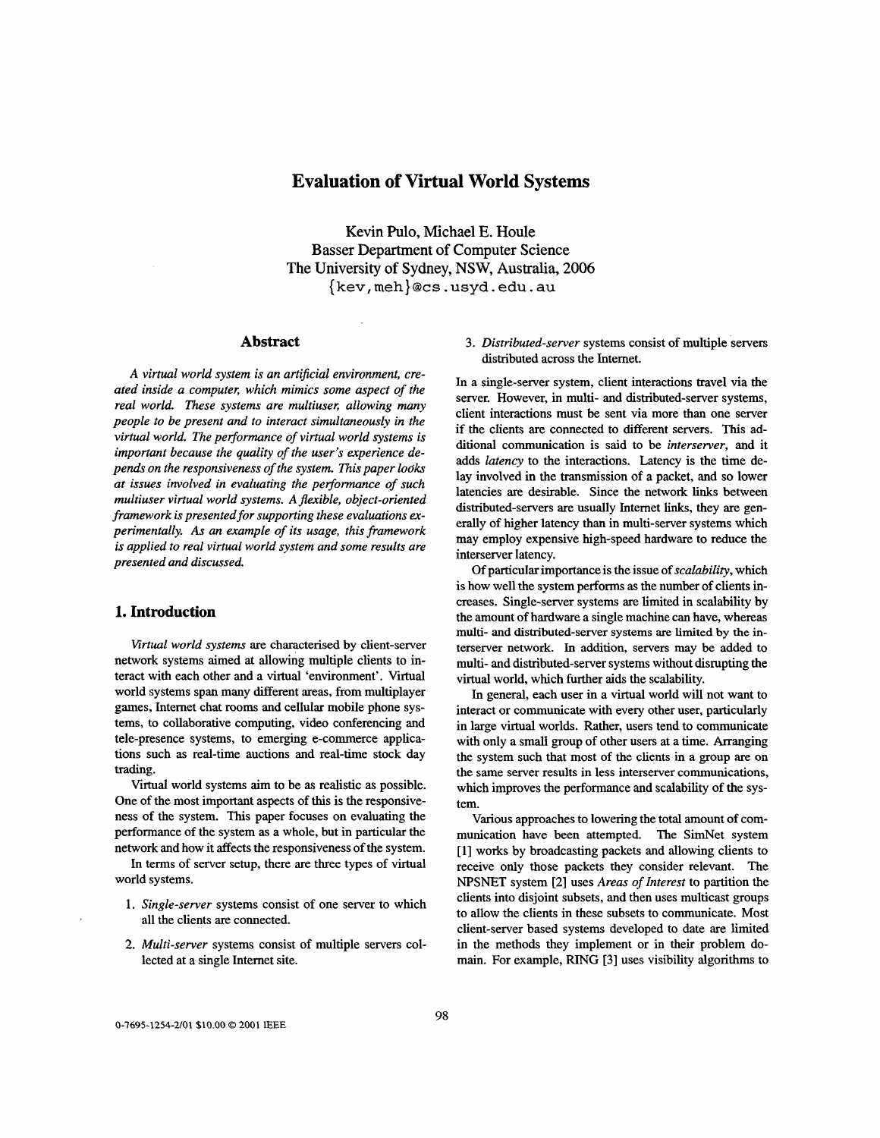# **Evaluation of Virtual World Systems**

Kevin Pulo, Michael E. Houle Basser Department of Computer Science The University of Sydney, NSW, Australia, 2006 **{kev,meh}@cs.usyd.edu.au** 

### **Abstract**

*A virtual world system is an artificial environment, created inside a computer, which mimics some aspect of the real world. These systems are multiuser, allowing many people to be present and to interact simultaneously in the virtual world. The performance* of *virtual world systems is important because the quality* of *the user's experience depends on the responsiveness* of *the system. This paper looks at issues involved in evaluating the performance of such multiuser virtual world systems. A Jexible, object-oriented framework is presented for supporting these evaluations experimentally. As an example of its usage, this framework is applied to real virtual world system and some results are presented and discussed.* 

# **1. Introduction**

*Virtual world systems* **are** characterised by client-server network systems aimed **at** allowing multiple clients to interact with each other and a virtual 'environment'. Virtual world systems span many different areas, from multiplayer games, Intemet chat rooms and cellular mobile phone systems, to collaborative computing, video conferencing and tele-presence systems, to emerging e-commerce applications such **as** real-time auctions and real-time stock day trading.

Virtual world systems aim to be as realistic **as** possible. One of the most important aspects of this is the responsiveness of the system. This paper focuses on evaluating the performance of the system as a whole, but in particular the network and how it affects the responsiveness of the system.

In terms of server setup, there are three types of virtual world systems.

- 1. *Single-server* systems consist of one server to which all the clients **are** connected.
- *2. Multi-server* systems consist of multiple servers collected at a single Intemet site.

# *3. Distn'buted-server* systems consist of multiple servers distributed across the Intemet.

In a single-server system, client interactions travel via the server. However, in multi- and distributed-server systems, client interactions must be sent via more than one server if the clients are connected to different servers. This additional communication is said to be *interserver,* and it adds *latency* to the interactions. Latency is the time delay involved in the transmission of a packet, and so lower latencies **are** desirable. Since the network links between distributed-servers are usually Intemet links, they are generally of higher latency than in multi-server systems which may employ expensive high-speed hardware to reduce the interserver latency.

Of particular importance is the issue of *scalability,* which is how well the system performs **as** the number of clients increases. Single-server systems **are** limited in scalability by the amount of hardware a single machine can have, whereas multi- and distributed-server systems **are** limited **by** the interserver network. In addition, servers may be added to multi- and distributed-server systems without disrupting the virtual world, which further aids the scalability.

In general, each user in a virtual world will not want to interact or communicate with every other user, particularly in large virtual worlds. Rather, users tend to communicate with only a small group of other users at a time. Arranging the system such that most of the clients in a group are on the same server results in less interserver communications, which improves the performance and scalability of the system.

Various approaches to lowering the total amount of communication have been attempted. The SimNet system [l] works by broadcasting packets and allowing clients to receive only those packets they consider relevant. The **NF'SNET** system [2] uses *Areas of Interest* to partition the clients into disjoint subsets, and then uses multicast groups to allow the clients in these subsets to communicate. Most client-server based systems developed to date are limited in the methods they implement or in their problem domain. For example, RING [3] uses visibility algorithms to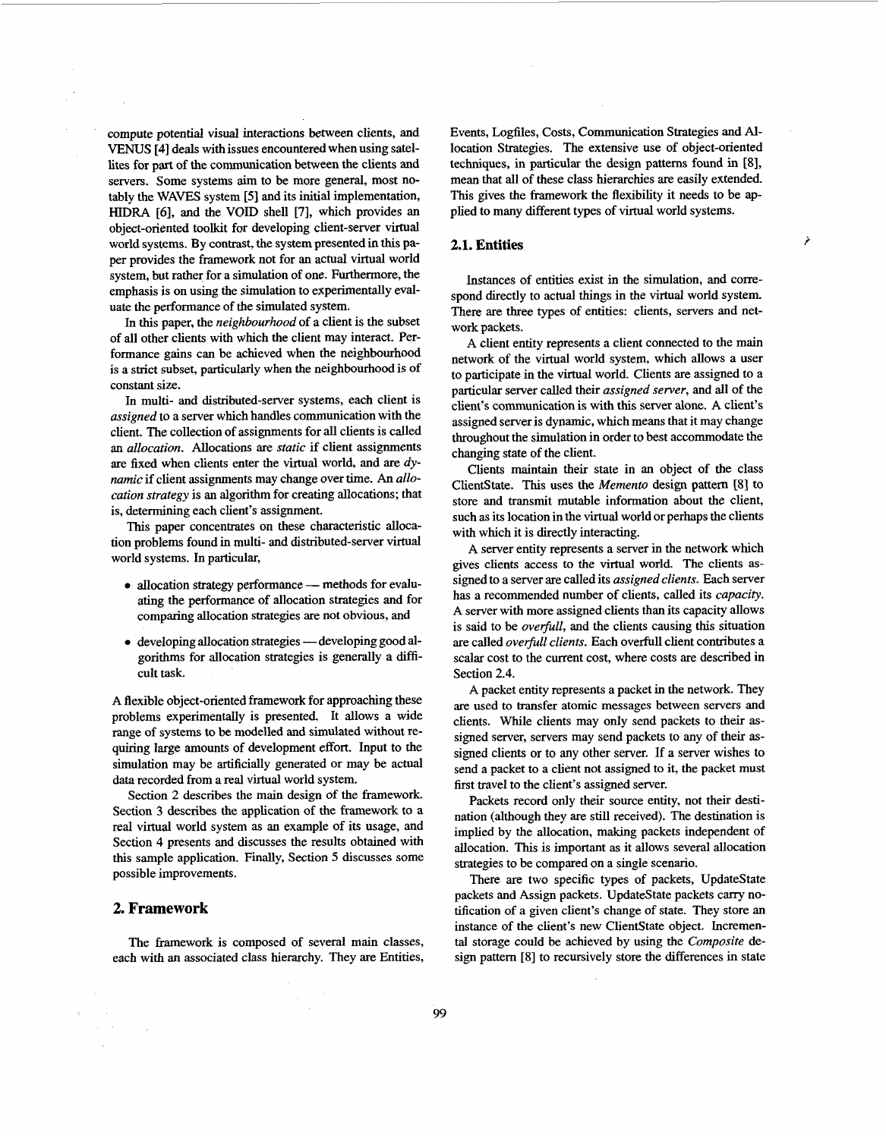compute potential visual interactions between clients, and VENUS **[4]** deals with issues encountered when using satellites for part of the communication between the clients and servers. Some systems aim to be more general, most notably the WAVES system *[5]* and its initial implementation, HIDRA **[6],** and the VOID shell [7], which provides an object-oriented toolkit for developing client-server virtual world systems. By contrast, the system presented in this paper provides the framework not for an actual virtual world system, but rather for a simulation of one. Furthermore, the emphasis is on using the simulation to experimentally evaluate the performance of the simulated system.

In this paper, the *neighbourhood* of a client is the subset of all other clients with which the client may interact. Performance gains can be achieved when the neighbourhood is a strict subset, particularly when the neighbourhood is of constant size.

In multi- and distributed-server systems, each client is *assigned* to a server which handles communication with the client. The collection of assignments for all clients is called **an** *allocation.* Allocations are *static* if client assignments are **fixed** when clients enter the virtual world, and **are** *dynamic* if client assignments may change over time. An *allocation strategy* is an algorithm for creating allocations; that is, determining each client's assignment.

This paper concentrates on these characteristic allocation problems found in multi- and distributed-server virtual world systems. In particular,

- allocation strategy performance methods for evaluating the performance of allocation strategies and for comparing allocation strategies are not obvious, and
- developing allocation strategies developing good algorithms for allocation strategies is generally a difficult task.

A flexible object-oriented framework for approaching these problems experimentally is presented. It allows a wide range of systems to be modelled and simulated without requiring large amounts of development effort. Input to the simulation may be artificially generated or may be actual data recorded from a real virtual world system.

Section 2 describes the main design of the framework. Section 3 describes the application of the framework to a real virtual world system **as** an example of its usage, and Section 4 presents and discusses the results obtained with this sample application. Finally, Section **5** discusses some possible improvements.

## **2. Framework**

 $\mathcal{L}_{\rm{max}}$ 

The framework is composed of several main classes, each with an associated class hierarchy. They are Entities,

 $\sim 10$ 

Events, Logfiles, Costs, Communication Strategies and Allocation Strategies. The extensive use of object-oriented techniques, in particular the design patterns found in **[SI,**  mean that all of these class hierarchies **are** easily extended. This gives the framework the flexibility it needs to be applied to many different types of virtual world systems.

#### **2.1. Entities**

Instances of entities exist in the simulation, and correspond directly to actual things in the virtual world system. There are three types of entities: clients, servers and network packets.

 $\mathcal{F}_{\mathcal{A}}^{(n)}$ 

A client entity represents a client connected to the main network of the virtual world system, which allows a user to participate in the virtual world. Clients are assigned to a particular server called their *assigned server,* and all of the client's communication is with this server alone. A client's assigned server is dynamic, which means that it may change throughout the simulation in order to best accommodate the changing state of the client.

Clients maintain their state in an object of the class Clientstate. This uses the *Memento* design pattern **[SI** to store and transmit mutable information about the client, such **as** its location in the virtual world or perhaps the clients with which it is directly interacting.

A server entity represents a server in the network which gives clients access to the virtual world. The clients assigned to a server are called its *assigned clients.* Each server has a recommended number of clients, called its *capacity.*  A server with more assigned clients than its capacity allows is said to be *overfull,* and the clients causing this situation are called *overfull clients.* Each overfull client contributes a scalar cost to the current cost, where costs are described in Section 2.4.

A packet entity represents a packet in the network. They are used to transfer atomic messages between servers and clients. While clients may only send packets to their **as**signed server, servers may send packets to any of their **as**signed clients or to any other server. If a server wishes to send a packet to a client not assigned to it, the packet must first travel to the client's assigned server.

Packets record only their source entity, not their destination (although they are still received). The destination is implied by the allocation, making packets independent of allocation. This is important **as** it allows several allocation strategies to be compared on a single scenario.

There are two specific types of packets, UpdateState packets and Assign packets. UpdateState packets carry notification of a given client's change of state. They store an instance of the client's new ClientState object. Incremental storage could be achieved by using the *Composite* design pattern **[SI** to recursively store the differences in state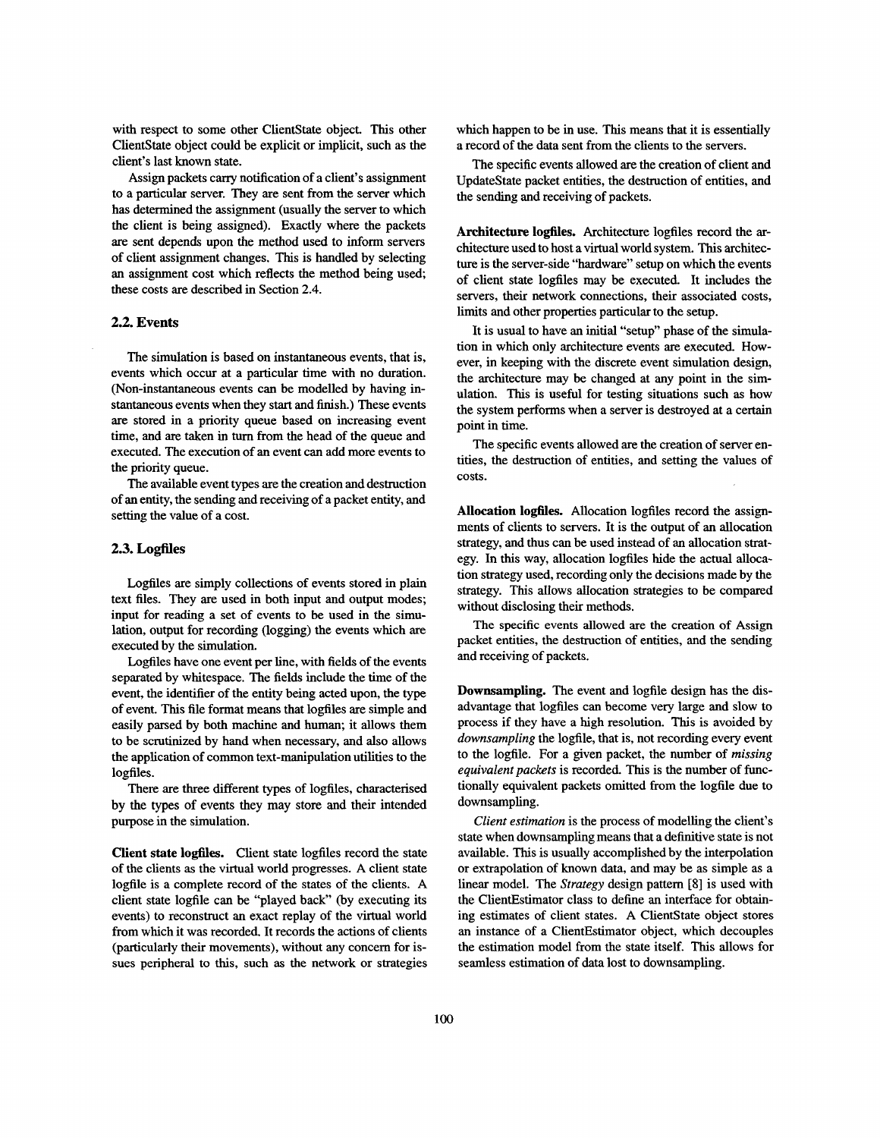with respect to some other ClientState object. This other ClientState object could be explicit or implicit, such as the client's last known state.

Assign packets carry notification of a client's assignment to a particular server. They are sent from the server which has determined the assignment (usually the server to which the client is being assigned). Exactly where the packets are sent depends upon the method used to inform servers of client assignment changes. This is handled by selecting an assignment cost which reflects the method being used; these costs are described in Section 2.4.

## **2.2. Events**

The simulation is based on instantaneous events, that is, events which occur at a particular time with no duration. (Non-instantaneous events can be modelled by having instantaneous events when they start and finish.) These events are stored in a priority queue based on increasing event time, and are taken in turn from the head of the queue and executed. The execution of an event can add more events to the priority queue.

The available event types are the creation and destruction of an entity, the sending and receiving of a packet entity, and setting the value of a cost.

#### **2.3. Logfdes**

Logfiles are simply collections of events stored in plain text files. They are used in both input and output modes; input for reading a set of events to be used in the simulation, output for recording (logging) the events which are executed by the simulation.

Logfiles have one event per line, with fields of the events separated by whitespace. The fields include the time of the event, the identifier of the entity being acted upon, the type of event. This file format means that logfiles are simple and easily parsed by both machine and human; it allows them to be scrutinized by hand when necessary, and also allows the application of common text-manipulation utilities to the logfiles.

There are three different types of logfiles, characterised by the types of events they may store and their intended purpose in the simulation.

**Client state logfiles.** Client state logfiles record the state of the clients **as** the virtual world progresses. A client state logfile is a complete record of the states of the clients. A client state logfile can be "played back" (by executing its events) to reconstruct an exact replay of the virtual world from which it was recorded. It records the actions of clients (particularly their movements), without any concem for issues peripheral to this, such **as** the network or strategies which happen to be in use. This means that it is essentially a record of the data sent from the clients to the servers.

The specific events allowed are the creation of client and UpdateState packet entities, the destruction of entities, and the sending and receiving of packets.

**Architecture logfiles.** Architecture logfiles record the architecture used to host a virtual world system. This architecture is the server-side "hardware" setup on which the events of client state logfiles may be executed. It includes the servers, their network connections, their associated costs, limits and other properties particular to the setup.

It is usual to have an initial "setup" phase of the simulation in which only architecture events are executed. However, in keeping with the discrete event simulation design, the architecture may be changed at any point in the simulation. This is useful for testing situations such **as** how the system performs when a server is destroyed at a certain point in time.

The specific events allowed are the creation of server entities, the destruction of entities, and setting the values of costs.

**Allocation logfiles.** Allocation logfiles record the assignments of clients to servers. It is the output of an allocation strategy, and thus can be used instead of an allocation strategy. In this way, allocation logfiles hide the actual allocation strategy used, recording only the decisions made by the strategy. This allows allocation strategies to be compared without disclosing their methods.

The specific events allowed are the creation of Assign packet entities, the destruction of entities, and the sending and receiving of packets.

**Downsampling.** The event and logfile design has the disadvantage that logfiles can become very large and slow to process if they have a high resolution. This is avoided by *downsampling* the logfile, that is, not recording every event to the logfile. For a given packet, the number of *missing equivalent packets* is recorded. This is the number of functionally equivalent packets omitted from the logfile due to downsampling.

*Client estimation* is the process of modelling the client's state when downsampling means that a definitive state is not available. This is usually accomplished by the interpolation or extrapolation of known data, and may be as simple **as** a linear model. The *Strategy* design pattem **[SI** is used with the ClientEstimator class to define an interface for obtaining estimates of client states. A ClientState object stores an instance of a ClientEstimator object, which decouples the estimation model from the state itself. This allows for seamless estimation of data lost to downsampling.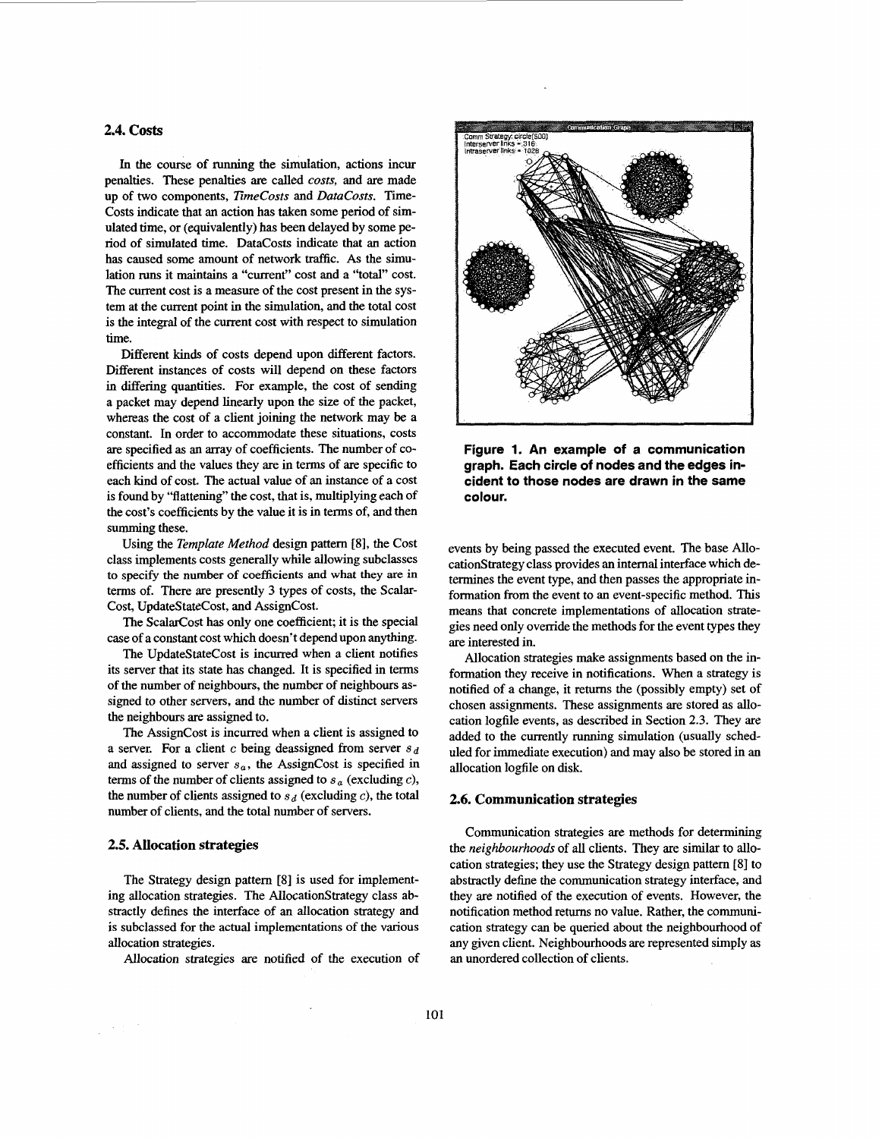# **2.4.** *Costs*

In the course of running the simulation, actions incur penalties. These penalties **are** called costs, and are made up of two components, *Timecosts* and *DataCosts.* Time-Costs indicate that an action has taken some period of simulated time, or (equivalently) has been delayed by some **pe**riod of simulated time. DataCosts indicate that an action has caused some amount of network traffic. As the simulation runs it maintains a "current" cost and a "total" cost. The current cost is a measure of the cost present in the system at the current point in the simulation, and the total cost is the integral of the current cost with respect to simulation time.

Different kinds of costs depend upon different factors. Different instances of costs will depend on these factors in differing quantities. For example, the cost of sending a packet may depend linearly upon the size of the packet, whereas the cost of a client joining the network may be a constant. In order to accommodate these situations, costs are specified **as** an array of coefficients. The number of COefficients and the values they are in terms of **are** specific to each kind of cost. The actual value of an instance of a cost is found by "flattening" the cost, that is, multiplying each of the cost's coefficients by the value it is in terms of, and then summing these.

Using the Template Method design pattern **[SI,** the Cost class implements costs generally while allowing subclasses to specify the number **of** coefficients and what they **are** in terms of. There are presently 3 types of costs, the Scalar-Cost, UpdateStateCost, and AssignCost.

The ScalarCost has only one coefficient; it is the special case of a constant cost which doesn't depend upon anything.

The UpdateStateCost is incurred when a client notifies its server that its state has changed. It is specified in terms of the number of neighbours, the number of neighbours assigned to other servers, and the number of distinct servers the neighbours *are* assigned to.

The AssignCost is incurred when a client is assigned to a server. For a client  $c$  being deassigned from server  $s_d$ and assigned to server  $s_a$ , the AssignCost is specified in terms of the number of clients assigned to  $s_a$  (excluding *c*), the number of clients assigned to  $s_d$  (excluding c), the total number of clients, and the total number of servers.

#### **2.5. Allocation strategies**

The Strategy design pattern **[SI** is used for implementing allocation strategies. The AllocationStrategy class abstractly defines the interface of an allocation strategy and is subclassed for the actual implementations of the various allocation strategies.

Allocation strategies are notified of the execution of



**Figure 1. An example of a communication graph. Each circle of nodes and the edges incident to those nodes are drawn in the same colour.** 

events by being passed the executed event. The base *Allo*cationStrategy class provides an internal interface which determines the event type, and then passes the appropriate information from the event to an event-specific method. This means that concrete implementations of allocation strategies need only override the methods for the event types they are interested in.

Allocation strategies make assignments based on the information they receive in notifications. When a strategy is notified of a change, it retums the (possibly empty) set of chosen assignments. These assignments are stored as allocation logfile events, as described in Section 2.3. They are added to the currently running simulation (usually scheduled for immediate execution) and may also be stored in an allocation logfile on disk.

#### **2.6. Communication strategies**

Communication strategies are methods for determining the *neighbourhoods* of all clients. They are similar to allocation strategies; they use the Strategy design pattern **[SI** to abstractly define the communication strategy interface, and they are notified of the execution of events. However, the notification method returns no value. Rather, the communication strategy can be queried about the neighbourhood of any given client. Neighbourhoods are represented simply **as**  an unordered collection of clients.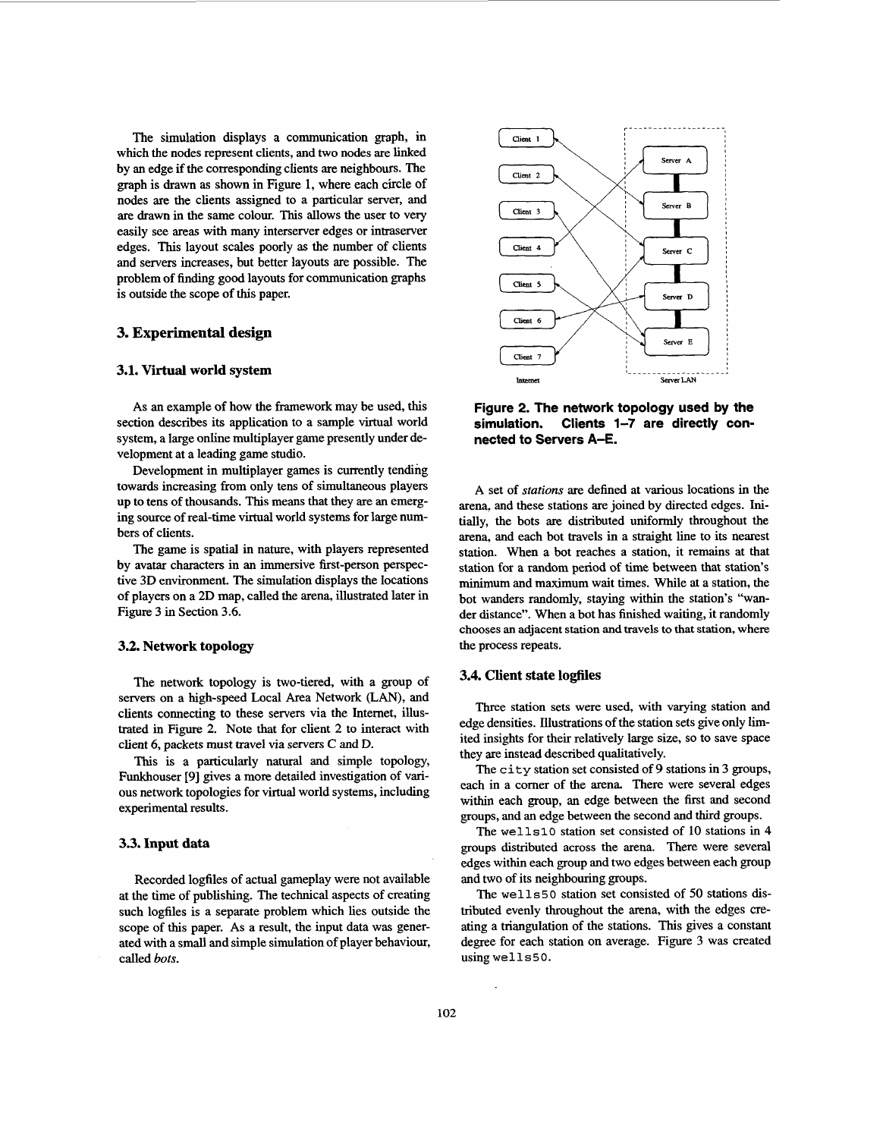The simulation displays a communication graph, in which the nodes represent clients, and two nodes are linked by an edge if the corresponding clients are neighbours. The graph is drawn **as** shown in Figure 1, where each circle of nodes are the clients assigned to a particular server, and **are** drawn in the same colour. This allows the user to very easily see areas with many interserver edges or intraserver edges. This layout scales poorly **as** the number of clients and servers increases, but better layouts are possible. The problem of finding good layouts for communication graphs is outside the scope of this paper.

## **3. Experimental design**

#### **3.1. Virtual world system**

As an example of how the framework may be used, this section describes its application to a sample virtual world system, a large online multiplayer game presently under development at a leading game studio.

Development in multiplayer games is currently tending towards increasing from only tens of simultaneous players up to tens of thousands. This means that they are an emerging source of real-time virtual world systems for large numbers of clients.

The game is spatial in nature, with players represented by avatar characters in an immersive first-person perspective 3D environment. The simulation displays the locations of players on a 2D map, called the arena, illustrated later in [Figure 3](#page-5-0) in Section 3.6.

## **3.2. Network topology**

The network topology is two-tiered, with a group of servers on a high-speed Local Area Network *(LAN),* and clients connecting to these servers via the Internet, illustrated in Figure 2. Note that for client 2 to interact with client 6, packets must travel via servers C and D.

This is a particularly natural and simple topology, Funkhouser [9] gives a more detailed investigation of various network topologies for virtual world systems, including experimental results.

## **3.3. Input data**

Recorded logfiles of actual gameplay were not available at the time of publishing. The technical aspects of creating such logfiles is a separate problem which lies outside the scope of this paper. As a result, the input data was generated with a small and simple simulation of player behaviour, called bots.



**Figure 2. The network topology used by the simulation. Clients 1-7 are directly connected to Servers A-E.** 

A set of stations are defined at various locations in the arena, and these stations are joined by directed edges. Initially, the bots are distributed uniformly throughout the arena, and each bot travels in a straight line to its nearest station. When a bot reaches a station, it remains at that station for a random period of time between that station's minimum and maximum wait times. While at a station, the bot wanders randomly, staying within the station's "wander distance". When a bot has finished waiting, it randomly chooses **an** adjacent station **and** travels to **that** station, where the process repeats.

# **3.4. Client state logfiles**

Three station sets were used, with varying station and edge densities. Illustrations of the station sets give only limited insights for their relatively large size, so to save space they are instead described qualitatively.

The city station set consisted of 9 stations in 3 groups, each in a comer of the arena. There were several edges within each group, **an** edge between the first and second groups, and an edge between the second and third groups.

The wellslo station set consisted of 10 stations in 4 groups distributed across the arena. There were several edges within each group and two edges between each group and two of its neighbouring groups.

The wells50 station set consisted of 50 stations distributed evenly throughout the arena, with the edges creating a triangulation of the stations. This gives a constant degree for each station on average. [Figure 3](#page-5-0) was created using wells50.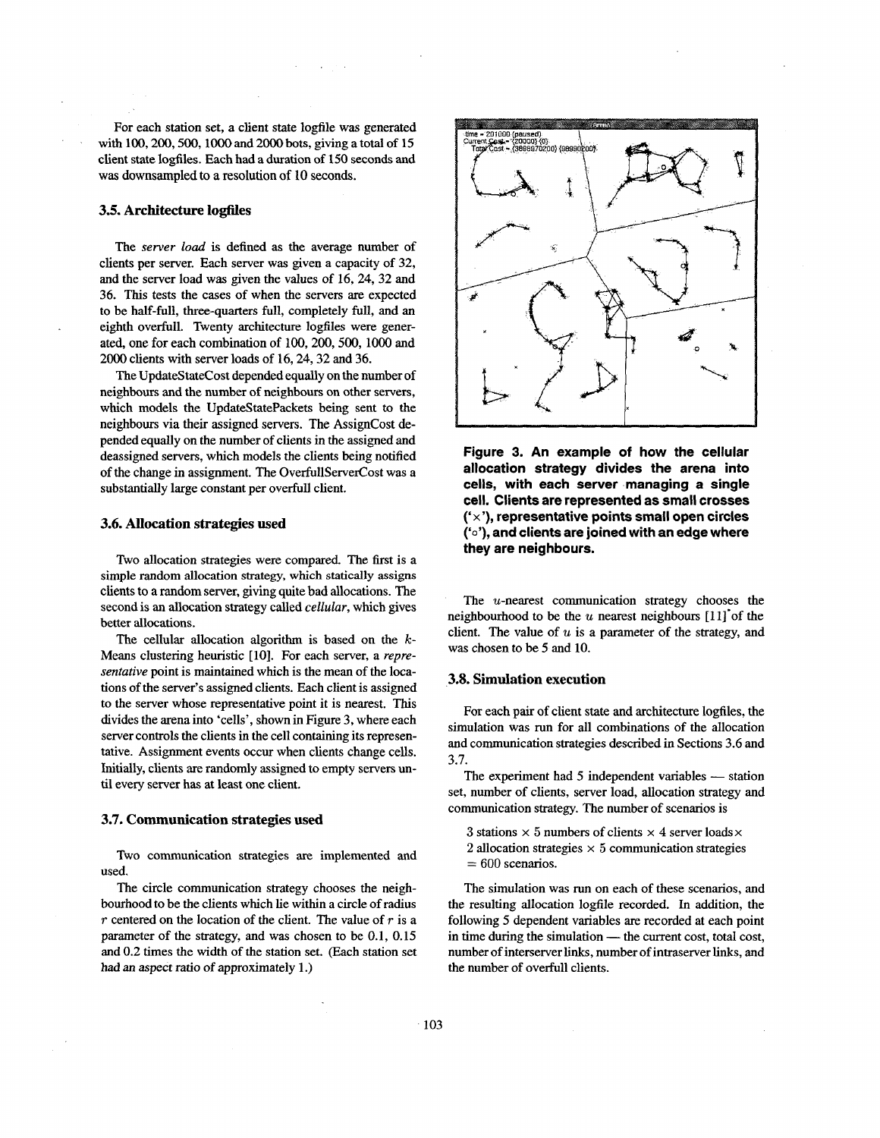<span id="page-5-0"></span>For each station set, a client state logfile was generated with 100, 200, 500, 1000 and 2000 bots, giving a total of 15 client state logfiles. Each had a duration of 150 seconds and was downsampled to **a** resolution of 10 seconds.

# **3.5. Architecture logfiles**

The *server load* is defined **as** the average number of clients per server. Each server was given a capacity of 32, and the server load was given the values of 16,24,32 and 36. This tests the cases of when the servers **are** expected to be half-full, three-quarters full, completely full, and an eighth overfull. Twenty architecture logfiles were generated, one for each combination of 100,200,500,1000 and 2000 clients with server loads of 16,24,32 and 36.

The UpdateStateCost depended equally on the number of neighbours and the number of neighbours on other servers, which models the UpdateStatePackets being sent *to* the neighbours via their assigned servers. The AssignCost depended equally on the number of clients in the assigned and deassigned servers, which models the clients being notified of the change in assignment. The OverfullServerCost was a substantially large constant per overfull client.

## **3.6. Allocation strategies used**

Two allocation strategies were compared. The first is a simple random allocation strategy, which statically assigns clients to a random server, giving quite bad allocations. The second is an allocation strategy called *cellular,* which gives better allocations.

The cellular allocation algorithm is based on the *k*-Means clustering heuristic [lo]. For each server, a *representative* point is maintained which is the mean of the locations of the server's assigned clients. Each client is assigned to the server whose representative point it is nearest. This divides the arena into 'cells', shown in Figure 3, where each server controls the clients in the cell containing its representative. Assignment events occur when clients change cells. Initially, clients are randomly assigned to empty servers until every server has at least one client.

## **3.7. Communication strategies used**

Two communication strategies **are** implemented and used.

The circle communication strategy chooses the neighbourhood to be the clients which lie within a circle of radius  $r$  centered on the location of the client. The value of  $r$  is a parameter of the strategy, and was chosen to be 0.1, 0.15 and 0.2 times the width of the station set. (Each station set had an aspect ratio of approximately 1.)



**Figure 3. An example of how the cellular allocation strategy divides the arena into cells, with each server managing a single cell. Clients are represented as small crosses**  ('x'), **representative points small open circles (Lo'), and clients are joined with an edge where they are neighbours.** 

The  $u$ -nearest communication strategy chooses the neighbourhood to be the  $u$  nearest neighbours  $[11]$  of the client. The value of  $u$  is a parameter of the strategy, and was chosen to be *5* and 10.

#### **3.8. Simulation execution**

For each pair of client state and architecture logfiles, the simulation was run for all combinations of the allocation and communication strategies described in Sections 3.6 and 3.7.

The experiment had  $5$  independent variables  $-$  station set, number of clients, server load, allocation strategy and communication strategy. The number of scenarios is

3 stations  $\times$  5 numbers of clients  $\times$  4 server loads  $\times$ 2 allocation strategies  $\times$  5 communication strategies  $= 600$  scenarios.

The simulation was *run* on each of these scenarios, and the resulting allocation logfile recorded. In addition, the following 5 dependent variables are recorded at each point the resulting allocation logfile recorded. In addition, the following 5 dependent variables are recorded at each point in time during the simulation — the current cost, total cost, number of internation and the current cos number of interserver links, number of intraserver links, and the number of overfull clients.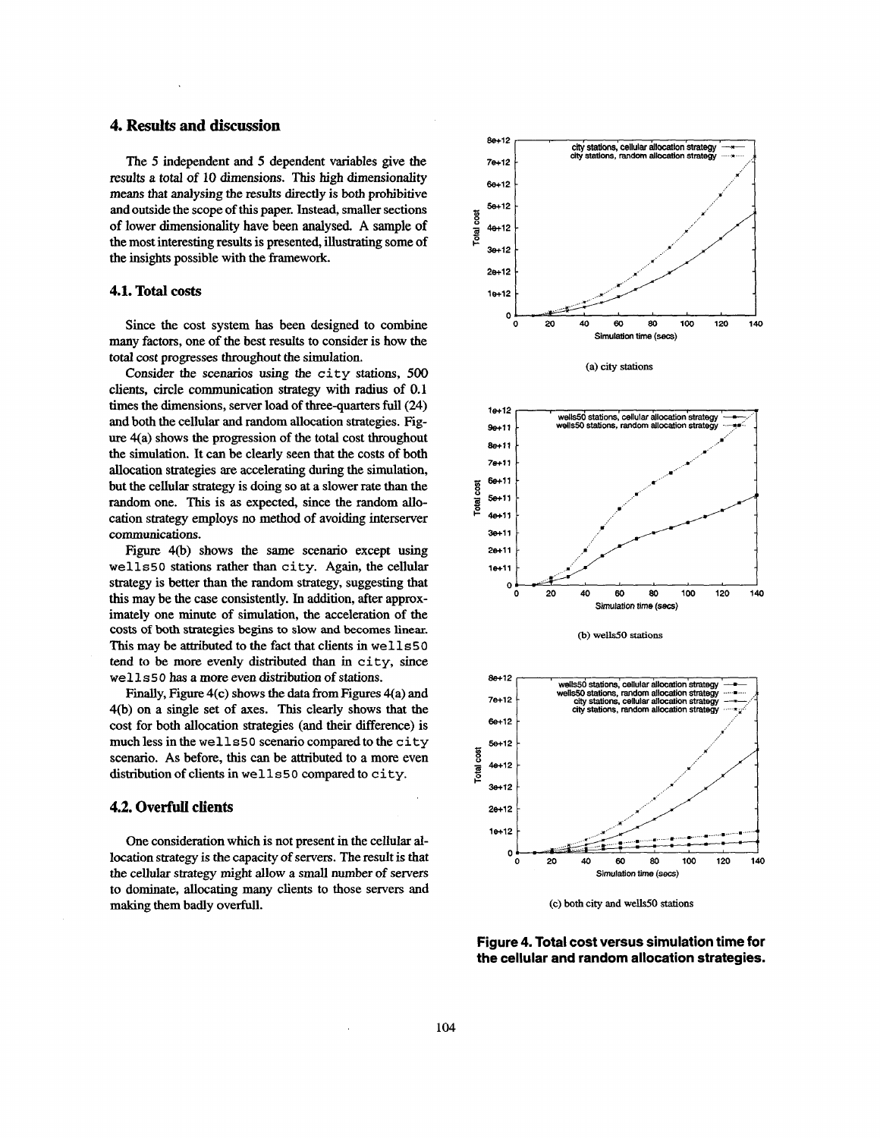# **4. Results and discussion**

The *5* independent and *5* dependent variables give the **results** a total of 10 dimensions. This high dimensionality means that analysing the results directly is both prohibitive and outside the scope of this paper. Instead, smaller sections of lower dimensionality have been analysed. A sample of the most interesting results is presented, illustrating some of the insights possible with the framework.

#### **4.1. Total** *costs*

Since the cost system **has** been designed to combine many factors, one of the best results to consider is how the total **cost** progresses throughout the simulation.

Consider the scenarios using the **city** stations, 500 clients, circle communication strategy with **radius** of 0.1 times the dimensions, server load of three-quarters full (24) and both the cellular and random allocation strategies. Figure 4(a) shows the progression of the total cost throughout the simulation. It can be clearly seen that the costs of both **allocation** strategies are accelerating during the simulation, but the cellular strategy is doing so at a slower rate than the random one. This is **as** expected, since the random allocation strategy employs no method of avoiding interserver communications.

Figure 4(b) shows the same scenario except using we1 1 **<sup>s</sup>***5* **0** stations rather than **city.** Again, the cellular strategy is better than the random strategy, suggesting that this may be the case consistently. In addition, after approximately one minute of simulation, the acceleration of the costs of **both strategies begins to slow and** becomes **linear.**  This may be attributed to the fact that clients in **we1** 1 *s* **5** 0 tend to be more evenly distributed than in **city,** since **we1 1 s5** *0* **has** a more even distribution of stations.

Finally, Figure **4(c)** shows the data from Figures 4(a) and 4(b) on a single set of axes. This clearly shows that the cost for both allocation strategies (and their difference) is much less in the **we** 1 1 **s 5 0** scenario compared to the **c it y**  scenario. **As** before, this can be attributed to a more even distribution of clients in we1 1 **s 5 0** compared to **city.** 

# *4.2.* **Overfull clients**

One consideration which is not present in the cellular **al**location strategy is the capacity of servers. The result is that the cellular strategy might allow a **small** number of servers to dominate, allocating many clients to those servers and making them badly overfull.



**Figure 4. Total cost versus simulation time for the cellular and random allocation strategies.**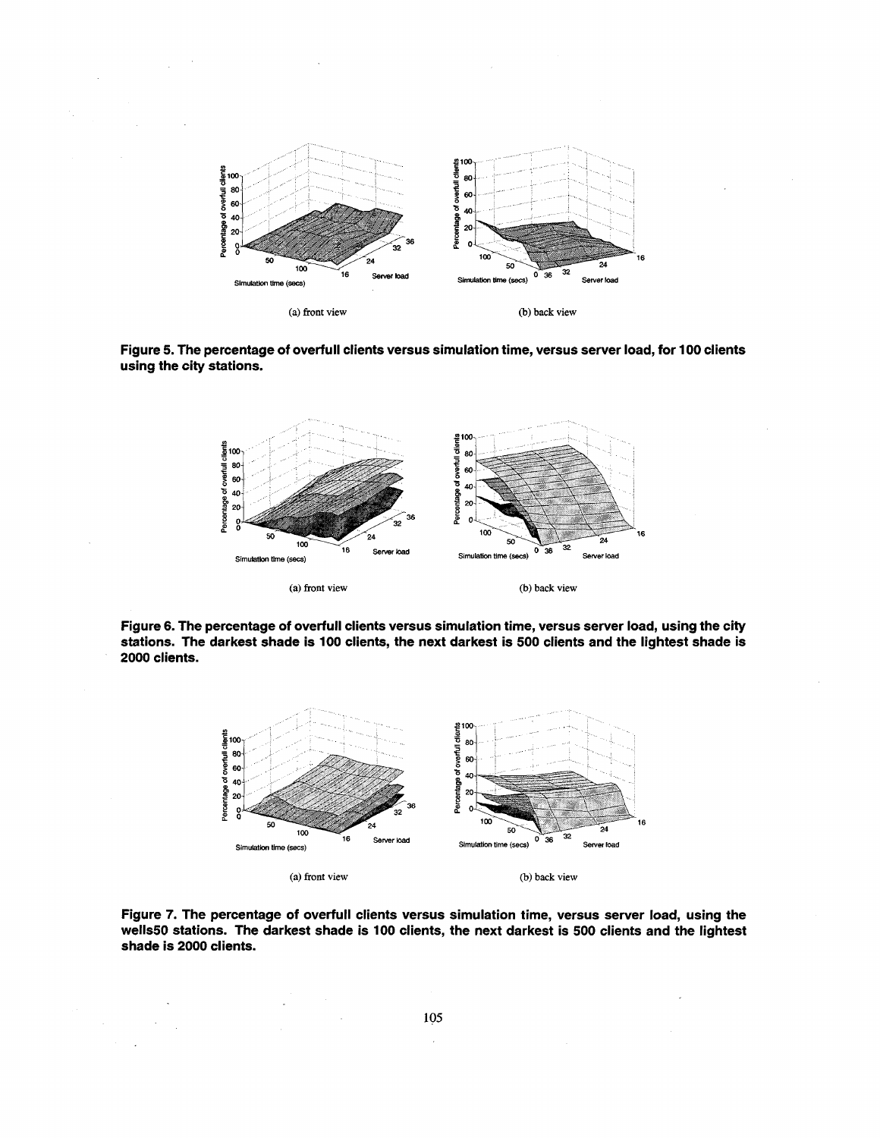

Figure 5. The percentage of overfull clients versus simulation time, versus server load, for 100 clients using the city stations.



Figure 6. The percentage of overfull clients versus simulation time, versus server load, using the city stations. The darkest shade is 100 clients, the next darkest is 500 clients and the lightest shade is 2000 clients.



Figure 7. The percentage of overfull clients versus simulation time, versus server load, using the wells50 stations. The darkest shade is 100 clients, the next darkest is 500 clients and the lightest shade is 2000 clients.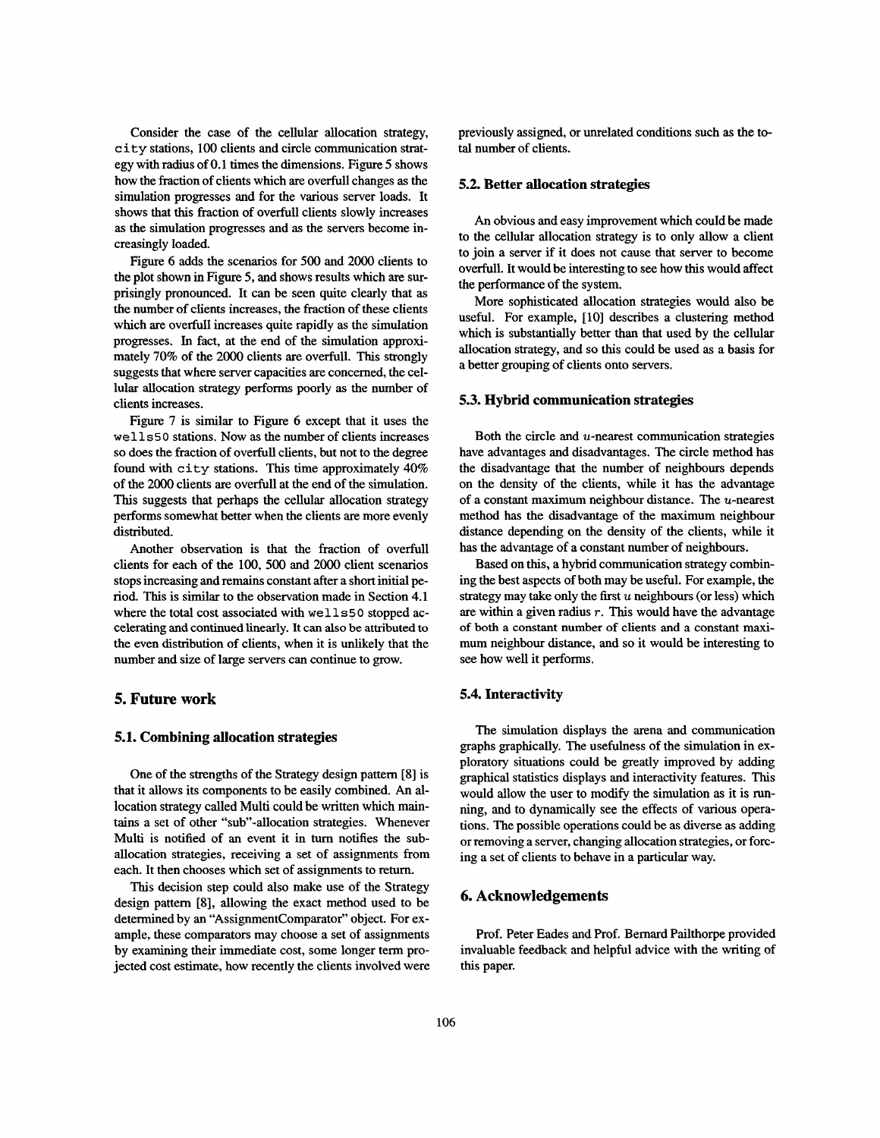Consider the case of the cellular allocation strategy, **city** stations, 100 clients and circle communication strategy with radius of 0.1 times the dimensions. Figure 5 shows simulation progresses and for the various server loads. It how the fraction of clients Which are overfull changes **as** the *5.2.* **Better allocation strategies**  shows that this fraction of overfull clients slowly increases **as** the simulation progresses and **as** the servers become increasingly loaded.

Figure 6 adds the scenarios for *500* and **2000** clients to the plot shown in Figure 5, and shows results which **are** surprisingly pronounced. It can be seen quite clearly that **as**  the number of clients increases, the fraction of these clients which are overfull increases quite rapidly as the simulation progresses. In fact, at the end of the simulation approximately 70% of the *2000* clients are overfull. This strongly suggests that where server capacities are concerned, the cellular allocation strategy performs poorly **as** the number of clients increases.

Figure 7 is similar to Figure 6 except that it uses the **we1 1 s 5** *0* stations. Now **as** the number of clients increases so does the fraction of overfull clients, but not to the degree found with **city** stations. This time approximately **40%**  of the **2000** clients *are* overfull at the end of the simulation. This suggests that perhaps the cellular allocation strategy performs somewhat better when the clients *are* more evenly distributed.

Another observation is that the fraction of overfull clients for each of the 100, 500 and **2000** client scenarios stops increasing and remains constant after a short initial period. This is similar to the observation made in Section **4.** l where the total cost associated with **wells50** stopped accelerating and continued linearly. It can also be attributed to the even distribution of clients, when it is unlikely that the number and size of large servers can continue to grow.

# **5. Future work**

#### **5.1. Combining allocation strategies**

One of the strengths of the Strategy design pattern **[8]** is that it allows its components to be easily combined. An **al**location strategy called Multi could be written which main**tains** a set of other "sub"-allocation strategies. Whenever Multi is notified of **an** event it in **turn** notifies the suballocation strategies, receiving a set of assignments from each. It then chooses which set of assignments to retum.

**This** decision step could also make use of the Strategy design pattern **[8],** allowing the exact method used to be determined by an "AssignmentComparator" object. For example, these comparators may choose a set of assignments by examining their immediate cost, some longer term projected cost estimate, how recently the clients involved were previously assigned, or unrelated conditions such **as** the total number of clients.

**An** obvious and easy improvement which could be made to the cellular allocation strategy is to only allow a client to join a server if it does not cause that server to become overfull. It would be interesting to see how this would affect the performance of the system.

More sophisticated allocation strategies would **also** be useful. For example, **[lo]** describes a clustering method which is substantially better than that used by the cellular allocation strategy, and so this could be used **as** a basis for a better grouping of clients onto servers.

#### **5.3. Hybrid communication strategies**

Both the circle and  $u$ -nearest communication strategies have advantages and disadvantages. The circle method has the disadvantage that the number of neighbours depends on the density of the clients, while it has the advantage of a constant maximum neighbour distance. The u-nearest method has the disadvantage of the maximum neighbour distance depending on the density of the clients, while it has the advantage of a constant number of neighbours.

Based on this, a hybrid communication strategy combining the best aspects of both may be useful. For example, the strategy may take only the first  $u$  neighbours (or less) which are within a given radius *T.* This would have the advantage of **both a** constant number of clients and a constant maximum neighbour distance, and so it would be interesting to see how well it performs.

# **5.4. Interactivity**

The simulation displays the arena and communication graphs graphically. The usefulness of the simulation in exploratory situations could be greatly improved by adding graphical statistics displays and interactivity features. This would allow the user to modify the simulation **as** it is running, and to dynamically see the effects of various operations. The possible operations could be as diverse **as** adding or removing a server, changing allocation strategies, or forcing a set of clients to behave in a particular way.

# **6. Acknowledgements**

Prof. Peter Eades and Prof. Bernard Pailthorpe provided invaluable feedback and helpful advice with the writing of this paper.